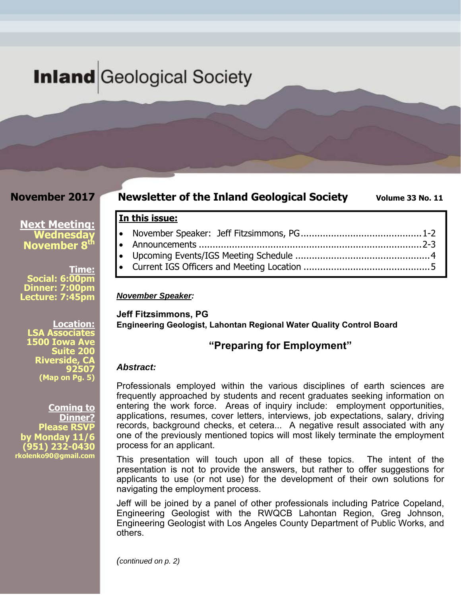# **Inland** Geological Society

## **November 2017**

**Next Meeting: Wednesday November 8th** 

**Social: 6:00pm Dinner: 7:00pm Lecture: 7:45pm** 

**Time:** 

## **Newsletter of the Inland Geological Society** Volume 33 No. 11

# **In this issue:**

#### *November Speaker:*

**Jeff Fitzsimmons, PG Engineering Geologist, Lahontan Regional Water Quality Control Board** 

#### **"Preparing for Employment"**

#### *Abstract:*

Professionals employed within the various disciplines of earth sciences are frequently approached by students and recent graduates seeking information on entering the work force. Areas of inquiry include: employment opportunities, applications, resumes, cover letters, interviews, job expectations, salary, driving records, background checks, et cetera... A negative result associated with any one of the previously mentioned topics will most likely terminate the employment process for an applicant.

This presentation will touch upon all of these topics. The intent of the presentation is not to provide the answers, but rather to offer suggestions for applicants to use (or not use) for the development of their own solutions for navigating the employment process.

Jeff will be joined by a panel of other professionals including Patrice Copeland, Engineering Geologist with the RWQCB Lahontan Region, Greg Johnson, Engineering Geologist with Los Angeles County Department of Public Works, and others.

**Location: LSA Associates 1500 Iowa Ave Suite 200 Riverside, CA 92507 (Map on Pg. 5)**

**Coming to Dinner? Please RSVP by Monday 11/6 (951) 232-0430 rkolenko90@gmail.com** 

*(continued on p. 2)*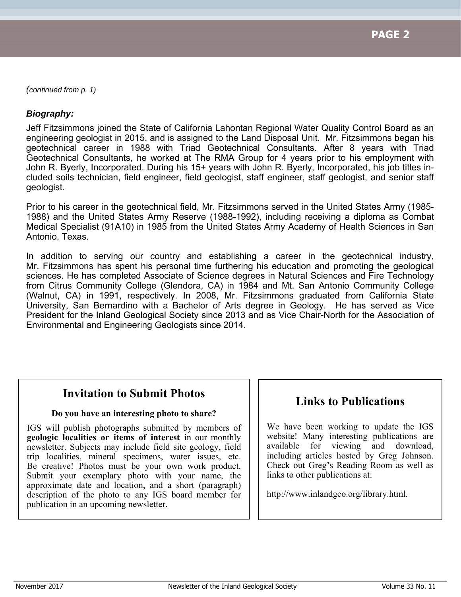*(continued from p. 1)* 

### *Biography:*

Jeff Fitzsimmons joined the State of California Lahontan Regional Water Quality Control Board as an engineering geologist in 2015, and is assigned to the Land Disposal Unit. Mr. Fitzsimmons began his geotechnical career in 1988 with Triad Geotechnical Consultants. After 8 years with Triad Geotechnical Consultants, he worked at The RMA Group for 4 years prior to his employment with John R. Byerly, Incorporated. During his 15+ years with John R. Byerly, Incorporated, his job titles included soils technician, field engineer, field geologist, staff engineer, staff geologist, and senior staff geologist.

Prior to his career in the geotechnical field, Mr. Fitzsimmons served in the United States Army (1985- 1988) and the United States Army Reserve (1988-1992), including receiving a diploma as Combat Medical Specialist (91A10) in 1985 from the United States Army Academy of Health Sciences in San Antonio, Texas.

In addition to serving our country and establishing a career in the geotechnical industry, Mr. Fitzsimmons has spent his personal time furthering his education and promoting the geological sciences. He has completed Associate of Science degrees in Natural Sciences and Fire Technology from Citrus Community College (Glendora, CA) in 1984 and Mt. San Antonio Community College (Walnut, CA) in 1991, respectively. In 2008, Mr. Fitzsimmons graduated from California State University, San Bernardino with a Bachelor of Arts degree in Geology. He has served as Vice President for the Inland Geological Society since 2013 and as Vice Chair-North for the Association of Environmental and Engineering Geologists since 2014.

# **Invitation to Submit Photos**

#### **Do you have an interesting photo to share?**

IGS will publish photographs submitted by members of **geologic localities or items of interest** in our monthly newsletter. Subjects may include field site geology, field trip localities, mineral specimens, water issues, etc. Be creative! Photos must be your own work product. Submit your exemplary photo with your name, the approximate date and location, and a short (paragraph) description of the photo to any IGS board member for publication in an upcoming newsletter.

# **Links to Publications**

We have been working to update the IGS website! Many interesting publications are available for viewing and download, including articles hosted by Greg Johnson. Check out Greg's Reading Room as well as links to other publications at:

http://www.inlandgeo.org/library.html.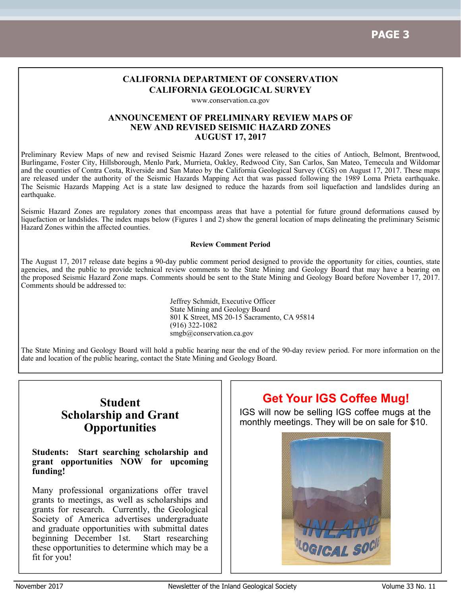#### **CALIFORNIA DEPARTMENT OF CONSERVATION CALIFORNIA GEOLOGICAL SURVEY**

www.conservation.ca.gov

#### **ANNOUNCEMENT OF PRELIMINARY REVIEW MAPS OF NEW AND REVISED SEISMIC HAZARD ZONES AUGUST 17, 2017**

Preliminary Review Maps of new and revised Seismic Hazard Zones were released to the cities of Antioch, Belmont, Brentwood, Burlingame, Foster City, Hillsborough, Menlo Park, Murrieta, Oakley, Redwood City, San Carlos, San Mateo, Temecula and Wildomar and the counties of Contra Costa, Riverside and San Mateo by the California Geological Survey (CGS) on August 17, 2017. These maps are released under the authority of the Seismic Hazards Mapping Act that was passed following the 1989 Loma Prieta earthquake. The Seismic Hazards Mapping Act is a state law designed to reduce the hazards from soil liquefaction and landslides during an earthquake.

Seismic Hazard Zones are regulatory zones that encompass areas that have a potential for future ground deformations caused by liquefaction or landslides. The index maps below (Figures 1 and 2) show the general location of maps delineating the preliminary Seismic Hazard Zones within the affected counties.

#### **Review Comment Period**

The August 17, 2017 release date begins a 90-day public comment period designed to provide the opportunity for cities, counties, state agencies, and the public to provide technical review comments to the State Mining and Geology Board that may have a bearing on the proposed Seismic Hazard Zone maps. Comments should be sent to the State Mining and Geology Board before November 17, 2017. Comments should be addressed to:

> Jeffrey Schmidt, Executive Officer State Mining and Geology Board 801 K Street, MS 20-15 Sacramento, CA 95814 (916) 322-1082 smgb@conservation.ca.gov

The State Mining and Geology Board will hold a public hearing near the end of the 90-day review period. For more information on the date and location of the public hearing, contact the State Mining and Geology Board.

# **Student Scholarship and Grant Opportunities**

#### **Students: Start searching scholarship and grant opportunities NOW for upcoming funding!**

Many professional organizations offer travel grants to meetings, as well as scholarships and grants for research. Currently, the Geological Society of America advertises undergraduate and graduate opportunities with submittal dates beginning December 1st. Start researching these opportunities to determine which may be a fit for you!

# **Get Your IGS Coffee Mug!**

IGS will now be selling IGS coffee mugs at the monthly meetings. They will be on sale for \$10.

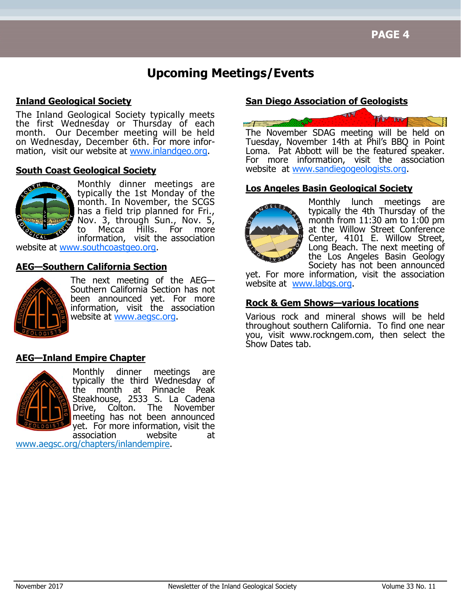# **Upcoming Meetings/Events**

### **Inland Geological Society**

The Inland Geological Society typically meets the first Wednesday or Thursday of each month. Our December meeting will be held on Wednesday, December 6th. For more information, visit our website at www.inlandgeo.org.

#### **South Coast Geological Society**



Monthly dinner meetings are typically the 1st Monday of the month. In November, the SCGS has a field trip planned for Fri., Nov. 3, through Sun., Nov. 5, to Mecca Hills. For more information, visit the association

website at www.southcoastgeo.org.

#### **AEG—Southern California Section**



The next meeting of the AEG— Southern California Section has not been announced yet. For more information, visit the association website at www.aegsc.org.

### **AEG—Inland Empire Chapter**



Monthly dinner meetings are typically the third Wednesday of the month at Pinnacle Peak Steakhouse, 2533 S. La Cadena Drive, Colton. The November meeting has not been announced yet. For more information, visit the association website at

www.aegsc.org/chapters/inlandempire.

# **San Diego Association of Geologists**



The November SDAG meeting will be held on Tuesday, November 14th at Phil's BBQ in Point Loma. Pat Abbott will be the featured speaker. For more information, visit the association website at www.sandiegogeologists.org.

### **Los Angeles Basin Geological Society**



Monthly lunch meetings are typically the 4th Thursday of the month from  $11:30$  am to  $1:00$  pm at the Willow Street Conference Center, 4101 E. Willow Street, Long Beach. The next meeting of the Los Angeles Basin Geology Society has not been announced

yet. For more information, visit the association website at www.labgs.org.

#### **Rock & Gem Shows—various locations**

Various rock and mineral shows will be held throughout southern California. To find one near you, visit www.rockngem.com, then select the Show Dates tab.